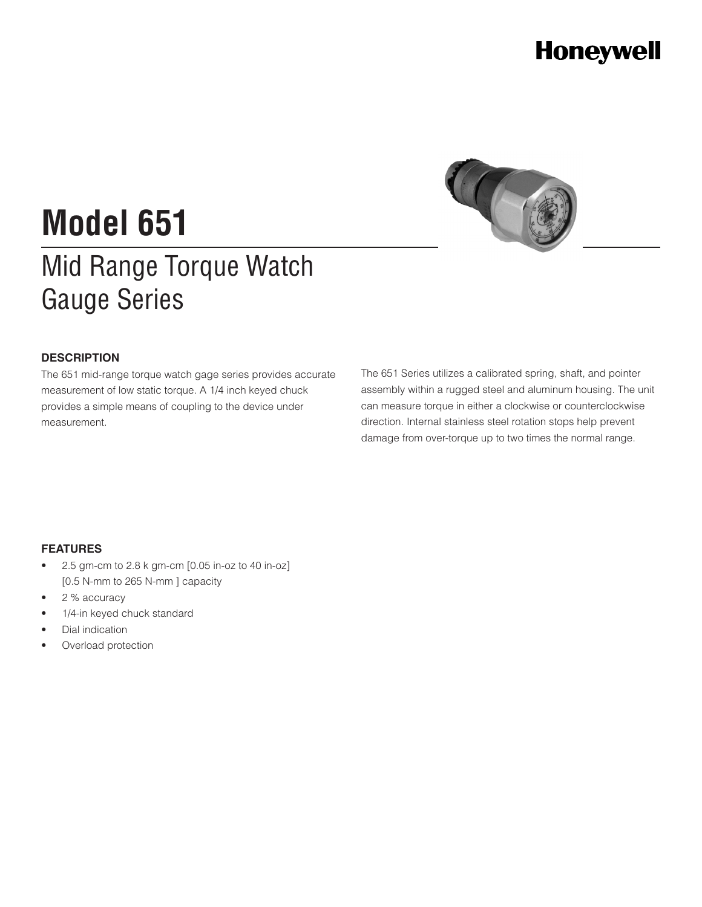## **Honeywell**



# **Model 651**

## Mid Range Torque Watch Gauge Series

### **DESCRIPTION**

The 651 mid-range torque watch gage series provides accurate measurement of low static torque. A 1/4 inch keyed chuck provides a simple means of coupling to the device under measurement.

The 651 Series utilizes a calibrated spring, shaft, and pointer assembly within a rugged steel and aluminum housing. The unit can measure torque in either a clockwise or counterclockwise direction. Internal stainless steel rotation stops help prevent damage from over-torque up to two times the normal range.

### **FEATURES**

- 2.5 gm-cm to 2.8 k gm-cm [0.05 in-oz to 40 in-oz] [0.5 N-mm to 265 N-mm ] capacity
- 2 % accuracy
- 1/4-in keyed chuck standard
- Dial indication
- Overload protection